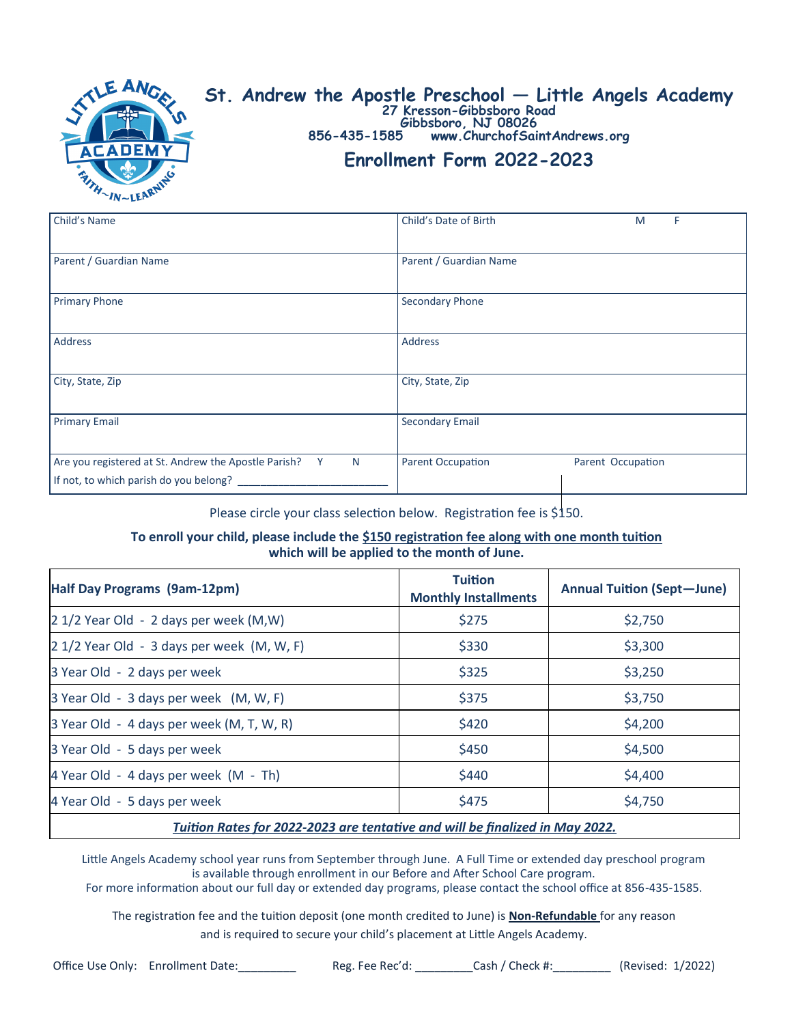

# **St. Andrew the Apostle Preschool — Little Angels Academy**

**27 Kresson-Gibbsboro Road Gibbsboro, NJ 08026**

**856-435-1585 www.ChurchofSaintAndrews.org**

## **Enrollment Form 2022-2023**

| Child's Name                                                                                             | Child's Date of Birth<br>F<br>M               |
|----------------------------------------------------------------------------------------------------------|-----------------------------------------------|
| Parent / Guardian Name                                                                                   | Parent / Guardian Name                        |
| <b>Primary Phone</b>                                                                                     | Secondary Phone                               |
| Address                                                                                                  | Address                                       |
| City, State, Zip                                                                                         | City, State, Zip                              |
| <b>Primary Email</b>                                                                                     | <b>Secondary Email</b>                        |
| Are you registered at St. Andrew the Apostle Parish?<br>Y<br>N<br>If not, to which parish do you belong? | <b>Parent Occupation</b><br>Parent Occupation |

Please circle your class selection below. Registration fee is \$150.

#### **To enroll your child, please include the \$150 registration fee along with one month tuition which will be applied to the month of June.**

| Half Day Programs (9am-12pm)                                                 | <b>Tuition</b><br><b>Monthly Installments</b> | <b>Annual Tuition (Sept-June)</b> |  |  |
|------------------------------------------------------------------------------|-----------------------------------------------|-----------------------------------|--|--|
| 2 1/2 Year Old - 2 days per week (M,W)                                       | \$275                                         | \$2,750                           |  |  |
| 2 1/2 Year Old - 3 days per week (M, W, F)                                   | \$330                                         | \$3,300                           |  |  |
| 3 Year Old - 2 days per week                                                 | \$325                                         | \$3,250                           |  |  |
| 3 Year Old - 3 days per week (M, W, F)                                       | \$375                                         | \$3,750                           |  |  |
| 3 Year Old - 4 days per week (M, T, W, R)                                    | \$420                                         | \$4,200                           |  |  |
| 3 Year Old - 5 days per week                                                 | \$450                                         | \$4,500                           |  |  |
| 4 Year Old - 4 days per week (M - Th)                                        | \$440                                         | \$4,400                           |  |  |
| 4 Year Old - 5 days per week                                                 | \$475                                         | \$4,750                           |  |  |
| Tuition Rates for 2022-2023 are tentative and will be finalized in May 2022. |                                               |                                   |  |  |

Little Angels Academy school year runs from September through June. A Full Time or extended day preschool program is available through enrollment in our Before and After School Care program.

For more information about our full day or extended day programs, please contact the school office at 856-435-1585.

The registration fee and the tuition deposit (one month credited to June) is **Non-Refundable** for any reason

and is required to secure your child's placement at Little Angels Academy.

Office Use Only: Enrollment Date:\_\_\_\_\_\_\_\_\_ Reg. Fee Rec'd: \_\_\_\_\_\_\_\_\_Cash / Check #:\_\_\_\_\_\_\_\_\_ (Revised: 1/2022)